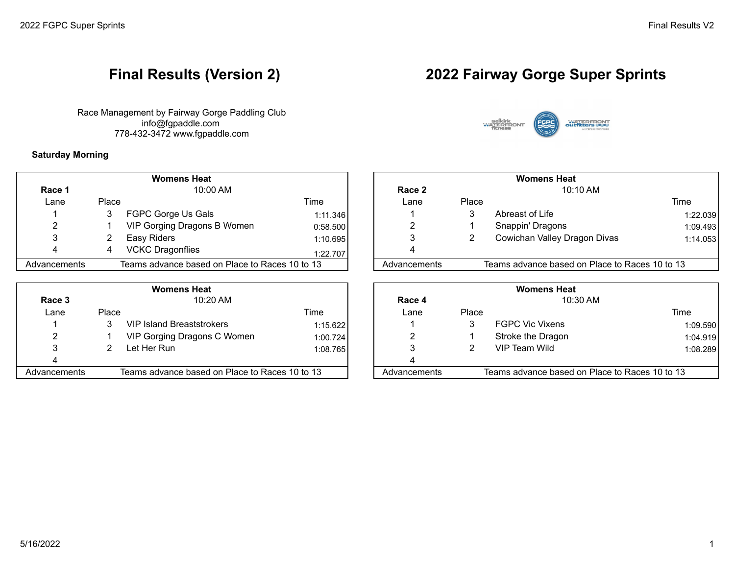Race Management by Fairway Gorge Paddling Club info@fgpaddle.com 778-432-3472 www.fgpaddle.com

### **Saturday Morning**

|                      |       | <b>Womens Heat</b>                             |            |              | <b>Womens Heat</b> |                                                |     |
|----------------------|-------|------------------------------------------------|------------|--------------|--------------------|------------------------------------------------|-----|
| $10:00$ AM<br>Race 1 |       | Race 2                                         | $10:10$ AM |              |                    |                                                |     |
| _ane                 | Place |                                                | Time       | ∟ane         | Place              |                                                | Tim |
|                      |       | FGPC Gorge Us Gals                             | 1:11.346   |              | 3                  | Abreast of Life                                |     |
|                      |       | VIP Gorging Dragons B Women                    | 0:58.500   |              |                    | Snappin' Dragons                               |     |
|                      |       | Easy Riders                                    | 1:10.695   |              |                    | Cowichan Valley Dragon Divas                   |     |
|                      | 4     | <b>VCKC Dragonflies</b>                        | 1:22.707   |              |                    |                                                |     |
| Advancements         |       | Teams advance based on Place to Races 10 to 13 |            | Advancements |                    | Teams advance based on Place to Races 10 to 13 |     |

|              |       | <b>Womens Heat</b>                             |           |              | <b>Womens Heat</b> |                                                |     |
|--------------|-------|------------------------------------------------|-----------|--------------|--------------------|------------------------------------------------|-----|
| Race 3       |       | 10:20 AM                                       |           | Race 4       |                    | 10:30 AM                                       |     |
| Lane         | Place |                                                | Time      | Lane         | Place              |                                                | Tim |
|              |       | <b>VIP Island Breaststrokers</b>               | 1:15.6221 |              |                    | <b>FGPC Vic Vixens</b>                         |     |
| ົ            |       | VIP Gorging Dragons C Women                    | 1:00.724  | າ            |                    | Stroke the Dragon                              |     |
|              |       | Let Her Run                                    | 1:08.765  |              |                    | VIP Team Wild                                  |     |
|              |       |                                                |           |              |                    |                                                |     |
| Advancements |       | Teams advance based on Place to Races 10 to 13 |           | Advancements |                    | Teams advance based on Place to Races 10 to 13 |     |
|              |       |                                                |           |              |                    |                                                |     |

# **Final Results (Version 2) 2022 Fairway Gorge Super Sprints**



|           |       | <b>Womens Heat</b>                             |          | <b>Womens Heat</b> |       |                                                |          |  |
|-----------|-------|------------------------------------------------|----------|--------------------|-------|------------------------------------------------|----------|--|
| ໄace 1    |       | 10:00 AM                                       |          | Race 2             |       | $10:10$ AM                                     |          |  |
| Lane      | Place |                                                | Time     | Lane               | Place |                                                | Time     |  |
|           |       | FGPC Gorge Us Gals                             | 1:11.346 |                    |       | Abreast of Life                                | 1:22.039 |  |
|           |       | VIP Gorging Dragons B Women                    | 0:58.500 |                    |       | Snappin' Dragons                               | 1:09.493 |  |
|           |       | Easy Riders                                    | 1:10.695 |                    |       | Cowichan Valley Dragon Divas                   | 1:14.053 |  |
|           |       | <b>VCKC Dragonflies</b>                        | 1:22.707 |                    |       |                                                |          |  |
| ıncements |       | Teams advance based on Place to Races 10 to 13 |          | Advancements       |       | Teams advance based on Place to Races 10 to 13 |          |  |

|          |       | <b>Womens Heat</b>                             |          | <b>Womens Heat</b> |       |                                                |          |  |
|----------|-------|------------------------------------------------|----------|--------------------|-------|------------------------------------------------|----------|--|
| ace 3    |       | 10:20 AM                                       |          | Race 4             |       | 10:30 AM                                       |          |  |
| Lane     | Place |                                                | Time     | Lane               | Place |                                                | Time     |  |
|          |       | <b>VIP Island Breaststrokers</b>               | 1:15.622 |                    |       | <b>FGPC Vic Vixens</b>                         | 1:09.590 |  |
|          |       | VIP Gorging Dragons C Women                    | 1:00.724 |                    |       | Stroke the Dragon                              | 1:04.919 |  |
|          |       | Let Her Run                                    | 1:08.765 |                    |       | VIP Team Wild                                  | 1:08.289 |  |
|          |       |                                                |          |                    |       |                                                |          |  |
| ncements |       | Teams advance based on Place to Races 10 to 13 |          | Advancements       |       | Teams advance based on Place to Races 10 to 13 |          |  |
|          |       |                                                |          |                    |       |                                                |          |  |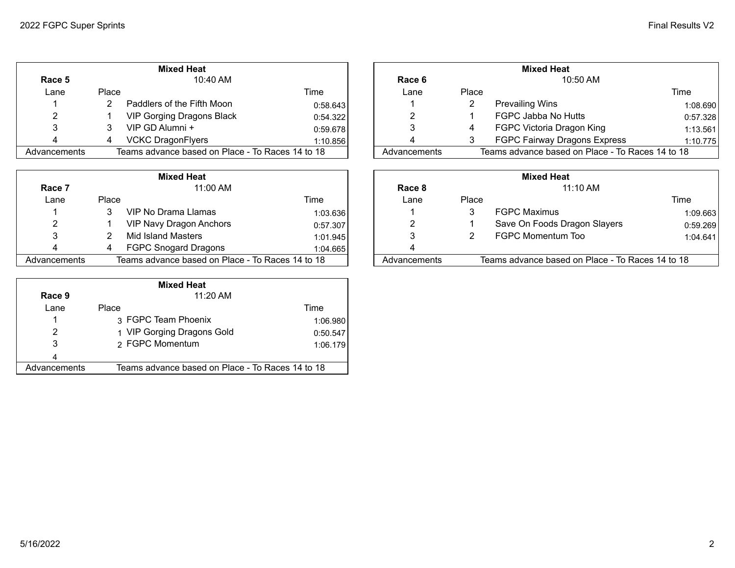|              |       | <b>Mixed Heat</b>                                |          |              | <b>Mixed Heat</b> |                                                  |      |  |
|--------------|-------|--------------------------------------------------|----------|--------------|-------------------|--------------------------------------------------|------|--|
| Race 5       |       | $10:40$ AM                                       |          | Race 6       |                   | 10:50 AM                                         |      |  |
| Lane         | Place |                                                  | Time     | Lane         | Place             |                                                  | Time |  |
|              |       | Paddlers of the Fifth Moon                       | 0:58.643 |              |                   | <b>Prevailing Wins</b>                           |      |  |
|              |       | <b>VIP Gorging Dragons Black</b>                 | 0:54.322 |              |                   | FGPC Jabba No Hutts                              | 0:   |  |
|              |       | VIP GD Alumni +                                  | 0:59.678 |              |                   | FGPC Victoria Dragon King                        |      |  |
|              |       | <b>VCKC DragonFlyers</b>                         | 1:10.856 |              |                   | <b>FGPC Fairway Dragons Express</b>              |      |  |
| Advancements |       | Teams advance based on Place - To Races 14 to 18 |          | Advancements |                   | Teams advance based on Place - To Races 14 to 18 |      |  |

|              |       | <b>Mixed Heat</b>                                |          | <b>Mixed Heat</b> |       |                                                  |                |  |
|--------------|-------|--------------------------------------------------|----------|-------------------|-------|--------------------------------------------------|----------------|--|
| Race 7       |       | 11:00 AM                                         |          | Race 8            |       | $11:10$ AM                                       |                |  |
| Lane         | Place |                                                  | Time     | Lane              | Place |                                                  | Time           |  |
|              |       | VIP No Drama Llamas                              | 1:03.636 |                   |       | <b>FGPC Maximus</b>                              | $\mathbf{1}$ : |  |
| າ            |       | <b>VIP Navy Dragon Anchors</b>                   | 0:57.307 |                   |       | Save On Foods Dragon Slayers                     | 0:             |  |
| 3            |       | Mid Island Masters                               | 1:01.945 |                   |       | FGPC Momentum Too                                |                |  |
|              |       | <b>FGPC Snogard Dragons</b>                      | 1:04.665 |                   |       |                                                  |                |  |
| Advancements |       | Teams advance based on Place - To Races 14 to 18 |          | Advancements      |       | Teams advance based on Place - To Races 14 to 18 |                |  |

|              | <b>Mixed Heat</b>                                |          |  |  |  |  |  |  |
|--------------|--------------------------------------------------|----------|--|--|--|--|--|--|
| Race 9       | $11:20$ AM                                       |          |  |  |  |  |  |  |
| Lane         | Place                                            | Time     |  |  |  |  |  |  |
| 1            | 3 FGPC Team Phoenix                              | 1:06.980 |  |  |  |  |  |  |
| 2            | 1 VIP Gorging Dragons Gold                       | 0:50.547 |  |  |  |  |  |  |
| 3            | 2 FGPC Momentum                                  | 1:06.179 |  |  |  |  |  |  |
| 4            |                                                  |          |  |  |  |  |  |  |
| Advancements | Teams advance based on Place - To Races 14 to 18 |          |  |  |  |  |  |  |

|           |       | <b>Mixed Heat</b>                                |          |              | <b>Mixed Heat</b> |                                                  |          |  |  |
|-----------|-------|--------------------------------------------------|----------|--------------|-------------------|--------------------------------------------------|----------|--|--|
| ace 5     |       | 10:40 AM                                         |          | Race 6       |                   | $10:50$ AM                                       |          |  |  |
| Lane      | Place |                                                  | Time     | ∟ane         | Place             |                                                  | Time     |  |  |
|           |       | Paddlers of the Fifth Moon                       | 0:58.643 |              |                   | <b>Prevailing Wins</b>                           | 1:08.690 |  |  |
|           |       | VIP Gorging Dragons Black                        | 0:54.322 |              |                   | FGPC Jabba No Hutts                              | 0:57.328 |  |  |
|           |       | VIP GD Alumni +                                  | 0:59.678 |              |                   | FGPC Victoria Dragon King                        | 1:13.561 |  |  |
|           |       | <b>VCKC DragonFlyers</b>                         | 1:10.856 |              |                   | FGPC Fairway Dragons Express                     | 1:10.775 |  |  |
| ıncements |       | Teams advance based on Place - To Races 14 to 18 |          | Advancements |                   | Teams advance based on Place - To Races 14 to 18 |          |  |  |
|           |       |                                                  |          |              |                   |                                                  |          |  |  |

|           |       | <b>Mixed Heat</b>                                |          | <b>Mixed Heat</b> |       |                                                  |          |  |
|-----------|-------|--------------------------------------------------|----------|-------------------|-------|--------------------------------------------------|----------|--|
| ace 7     |       | 11:00 AM                                         |          | Race 8            |       | $11:10$ AM                                       |          |  |
| Lane      | Place |                                                  | Time     | Lane              | Place |                                                  | Time     |  |
|           |       | VIP No Drama Llamas                              | 1:03.636 |                   |       | <b>FGPC Maximus</b>                              | 1:09.663 |  |
|           |       | <b>VIP Navy Dragon Anchors</b>                   | 0:57.307 |                   |       | Save On Foods Dragon Slayers                     | 0:59.269 |  |
|           |       | Mid Island Masters                               | 1:01.945 |                   |       | FGPC Momentum Too                                | 1:04.641 |  |
|           |       | <b>FGPC Snogard Dragons</b>                      | 1:04.665 |                   |       |                                                  |          |  |
| ıncements |       | Teams advance based on Place - To Races 14 to 18 |          | Advancements      |       | Teams advance based on Place - To Races 14 to 18 |          |  |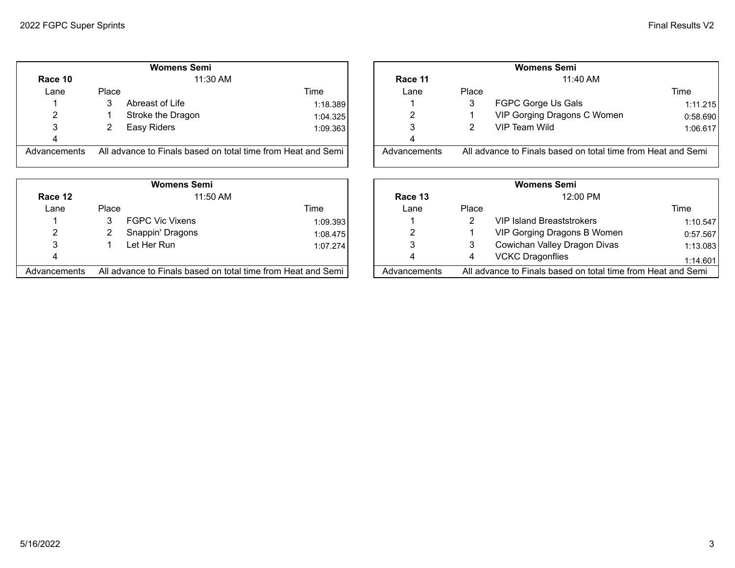|  | <b>Final Results V2</b> |  |
|--|-------------------------|--|
|--|-------------------------|--|

|              |       | <b>Womens Semi</b>                                           |          |              |       | <b>Womens Semi</b>                  |
|--------------|-------|--------------------------------------------------------------|----------|--------------|-------|-------------------------------------|
| Race 10      |       | $11:30$ AM                                                   |          | Race 11      |       | 11:40 AM                            |
| Lane         | Place |                                                              | Time     | Lane         | Place |                                     |
|              | 3     | Abreast of Life                                              | 1:18.389 |              | 3     | FGPC Gorge Us Gals                  |
| 2            |       | Stroke the Dragon                                            | 1:04.325 | 2            |       | VIP Gorging Dragons C Wo            |
| 3            |       | Easy Riders                                                  | 1:09.363 | 3            | 2     | VIP Team Wild                       |
| 4            |       |                                                              |          | 4            |       |                                     |
| Advancements |       | All advance to Finals based on total time from Heat and Semi |          | Advancements |       | All advance to Finals based on tota |
|              |       |                                                              |          |              |       |                                     |

|              |       | <b>Womens Semi</b>                                           |          |              |       | <b>Womens Semi</b>                  |
|--------------|-------|--------------------------------------------------------------|----------|--------------|-------|-------------------------------------|
| Race 12      |       | $11:50$ AM                                                   |          | Race 13      |       | 12:00 PM                            |
| Lane         | Place |                                                              | Time     | Lane         | Place |                                     |
|              |       | <b>FGPC Vic Vixens</b>                                       | 1:09.393 |              |       | <b>VIP Island Breaststrokers</b>    |
| 2            |       | Snappin' Dragons                                             | 1:08.475 |              |       | VIP Gorging Dragons B Wo            |
|              |       | Let Her Run                                                  | 1:07.274 | 3            |       | Cowichan Valley Dragon D            |
| 4            |       |                                                              |          |              | 4     | <b>VCKC Dragonflies</b>             |
| Advancements |       | All advance to Finals based on total time from Heat and Semi |          | Advancements |       | All advance to Finals based on tota |

|              |          | <b>Womens Semi</b>                                           |          |              | <b>Womens Semi</b> |                                                              |          |  |  |
|--------------|----------|--------------------------------------------------------------|----------|--------------|--------------------|--------------------------------------------------------------|----------|--|--|
| Race 10      | 11:30 AM |                                                              |          | Race 11      |                    | 11:40 AM                                                     |          |  |  |
| Lane         | Place    |                                                              | Time     | Lane         | Place              |                                                              | Time     |  |  |
|              |          | Abreast of Life                                              | 1:18.389 |              |                    | FGPC Gorge Us Gals                                           | 1:11.215 |  |  |
|              |          | Stroke the Dragon                                            | 1:04.325 |              |                    | VIP Gorging Dragons C Women                                  | 0:58.690 |  |  |
|              |          | Easy Riders                                                  | 1:09.363 |              |                    | VIP Team Wild                                                | 1:06.617 |  |  |
|              |          |                                                              |          |              |                    |                                                              |          |  |  |
| Advancements |          | All advance to Finals based on total time from Heat and Semi |          | Advancements |                    | All advance to Finals based on total time from Heat and Semi |          |  |  |

|              |          | <b>Womens Semi</b>                                           |          |              | <b>Womens Semi</b> |                                                              |          |  |
|--------------|----------|--------------------------------------------------------------|----------|--------------|--------------------|--------------------------------------------------------------|----------|--|
| Race 12      | 11:50 AM |                                                              |          | Race 13      |                    | 12:00 PM                                                     |          |  |
| Lane         | Place    |                                                              | Time     | ∟ane         | Place              |                                                              | Time     |  |
|              |          | <b>FGPC Vic Vixens</b>                                       | 1:09.393 |              |                    | <b>VIP Island Breaststrokers</b>                             | 1:10.547 |  |
|              |          | Snappin' Dragons                                             | 1:08.475 |              |                    | VIP Gorging Dragons B Women                                  | 0:57.567 |  |
|              |          | Let Her Run                                                  | 1:07.274 |              |                    | Cowichan Valley Dragon Divas                                 | 1:13.083 |  |
|              |          |                                                              |          |              |                    | <b>VCKC Dragonflies</b>                                      | 1:14.601 |  |
| Advancements |          | All advance to Finals based on total time from Heat and Semi |          | Advancements |                    | All advance to Finals based on total time from Heat and Semi |          |  |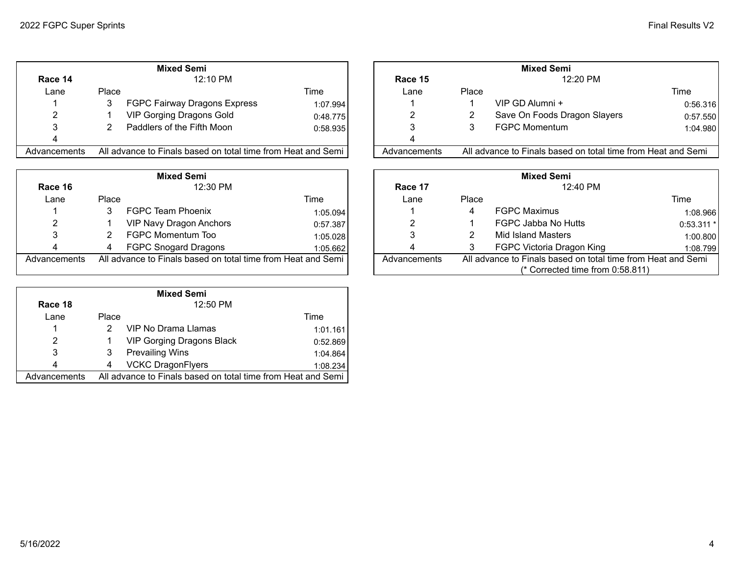|  | <b>Final Results V2</b> |  |
|--|-------------------------|--|
|--|-------------------------|--|

|              |       | <b>Mixed Semi</b>                                            |          |              |       | <b>Mixed Semi</b>                   |
|--------------|-------|--------------------------------------------------------------|----------|--------------|-------|-------------------------------------|
| Race 14      |       | 12:10 PM                                                     |          | Race 15      |       | 12:20 PM                            |
| Lane         | Place |                                                              | Time     | Lane         | Place |                                     |
|              | 3     | FGPC Fairway Dragons Express                                 | 1:07.994 |              |       | VIP GD Alumni +                     |
| 2            |       | <b>VIP Gorging Dragons Gold</b>                              | 0:48.775 | 2            |       | Save On Foods Dragon Sla            |
| 3            |       | Paddlers of the Fifth Moon                                   | 0:58.935 |              |       | <b>FGPC Momentum</b>                |
| 4            |       |                                                              |          |              |       |                                     |
| Advancements |       | All advance to Finals based on total time from Heat and Semi |          | Advancements |       | All advance to Finals based on tota |

|              |       | <b>Mixed Semi</b>                                            |          |              |       | <b>Mixed Semi</b>                   |
|--------------|-------|--------------------------------------------------------------|----------|--------------|-------|-------------------------------------|
| Race 16      |       | 12:30 PM                                                     |          | Race 17      |       | 12:40 PM                            |
| Lane         | Place |                                                              | Time     | Lane         | Place |                                     |
|              |       | FGPC Team Phoenix                                            | 1:05.094 |              | 4     | <b>FGPC Maximus</b>                 |
| 2            |       | <b>VIP Navy Dragon Anchors</b>                               | 0:57.387 |              |       | FGPC Jabba No Hutts                 |
|              |       | FGPC Momentum Too                                            | 1:05.028 |              |       | Mid Island Masters                  |
| 4            | 4     | <b>FGPC Snogard Dragons</b>                                  | 1:05.662 |              |       | FGPC Victoria Dragon King           |
| Advancements |       | All advance to Finals based on total time from Heat and Semi |          | Advancements |       | All advance to Finals based on tota |
|              |       |                                                              |          |              |       | $\frac{1}{2}$ Corrected time from   |

|              | <b>Mixed Semi</b> |                                                              |          |  |  |  |  |  |  |
|--------------|-------------------|--------------------------------------------------------------|----------|--|--|--|--|--|--|
| Race 18      |                   | 12:50 PM                                                     |          |  |  |  |  |  |  |
| Lane         | Place             |                                                              | Time     |  |  |  |  |  |  |
|              | 2                 | <b>VIP No Drama Llamas</b>                                   | 1:01.161 |  |  |  |  |  |  |
| 2            | 1                 | <b>VIP Gorging Dragons Black</b>                             | 0:52.869 |  |  |  |  |  |  |
| 3            | 3                 | <b>Prevailing Wins</b>                                       | 1:04.864 |  |  |  |  |  |  |
| 4            | 4                 | <b>VCKC DragonFlyers</b>                                     | 1:08.234 |  |  |  |  |  |  |
| Advancements |                   | All advance to Finals based on total time from Heat and Semi |          |  |  |  |  |  |  |

|              |          | <b>Mixed Semi</b>                                            |          |              |       | <b>Mixed Semi</b>                                            |          |
|--------------|----------|--------------------------------------------------------------|----------|--------------|-------|--------------------------------------------------------------|----------|
| Race 14      | 12:10 PM |                                                              |          | Race 15      |       |                                                              |          |
| Lane         | Place    |                                                              | Time     | Lane         | Place |                                                              | Time     |
|              |          | FGPC Fairway Dragons Express                                 | 1:07.994 |              |       | VIP GD Alumni +                                              | 0:56.316 |
|              |          | VIP Gorging Dragons Gold                                     | 0:48.775 |              |       | Save On Foods Dragon Slayers                                 | 0:57.550 |
|              |          | Paddlers of the Fifth Moon                                   | 0:58.935 |              |       | <b>FGPC Momentum</b>                                         | 1:04.980 |
|              |          |                                                              |          |              |       |                                                              |          |
| Advancements |          | All advance to Finals based on total time from Heat and Semi |          | Advancements |       | All advance to Finals based on total time from Heat and Semi |          |

|              |          | <b>Mixed Semi</b>                                            |          |                                                                              | <b>Mixed Semi</b>                |       |                           |             |
|--------------|----------|--------------------------------------------------------------|----------|------------------------------------------------------------------------------|----------------------------------|-------|---------------------------|-------------|
| Race 16      | 12:30 PM |                                                              |          |                                                                              | Race 17                          |       | 12:40 PM                  |             |
| Lane         | Place    |                                                              | Time     |                                                                              | Lane                             | Place |                           | Time        |
|              |          | <b>FGPC Team Phoenix</b>                                     | 1:05.094 |                                                                              |                                  | 4     | <b>FGPC Maximus</b>       | 1:08.966    |
|              |          | <b>VIP Navy Dragon Anchors</b>                               | 0:57.387 |                                                                              |                                  |       | FGPC Jabba No Hutts       | $0:53.311*$ |
|              |          | FGPC Momentum Too                                            | 1:05.028 |                                                                              |                                  |       | Mid Island Masters        | 1:00.800    |
|              |          | <b>FGPC Snogard Dragons</b>                                  | 1:05.662 |                                                                              |                                  |       | FGPC Victoria Dragon King | 1:08.799    |
| Advancements |          | All advance to Finals based on total time from Heat and Semi |          | All advance to Finals based on total time from Heat and Semi<br>Advancements |                                  |       |                           |             |
|              |          |                                                              |          |                                                                              | (* Corrected time from 0:58.811) |       |                           |             |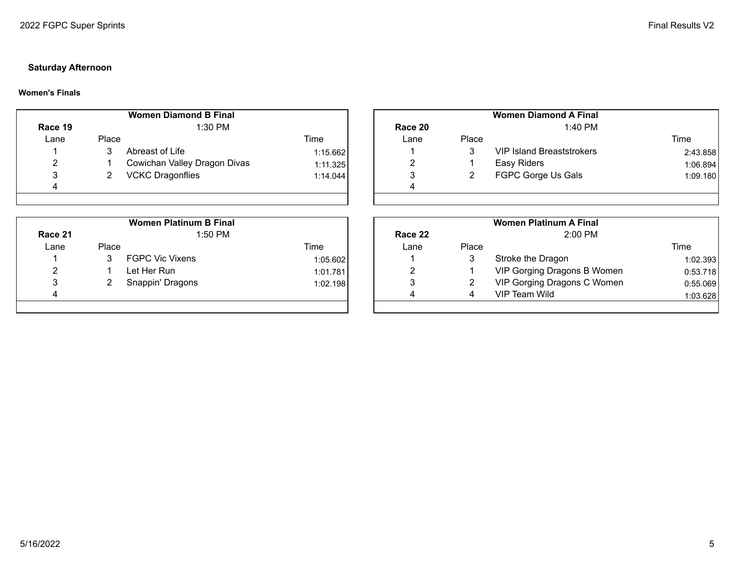# **Saturday Afternoon**

## **Women's Finals**

|                |       | <b>Women Diamond B Final</b> |          |         |       | <b>Women Diamond A Final</b>     |
|----------------|-------|------------------------------|----------|---------|-------|----------------------------------|
| Race 19        |       | $1:30$ PM                    |          | Race 20 |       | 1:40 PM                          |
| Lane           | Place |                              | Time     | Lane    | Place |                                  |
|                |       | Abreast of Life              | 1:15.662 |         | 3     | <b>VIP Island Breaststrokers</b> |
| $\overline{2}$ |       | Cowichan Valley Dragon Divas | 1:11.325 | ⌒       |       | Easy Riders                      |
| 2              |       | <b>VCKC Dragonflies</b>      | 1:14.044 |         |       | FGPC Gorge Us Gals               |
| 4              |       |                              |          | 4       |       |                                  |
|                |       |                              |          |         |       |                                  |

|         |       | <b>Women Platinum B Final</b> |          |         |       | <b>Women Platinum A Final</b> |
|---------|-------|-------------------------------|----------|---------|-------|-------------------------------|
| Race 21 |       | $1:50$ PM                     |          | Race 22 |       | $2:00$ PM                     |
| Lane    | Place |                               | Time     | Lane    | Place |                               |
|         |       | <b>FGPC Vic Vixens</b>        | 1:05.602 |         |       | Stroke the Dragon             |
| 2       |       | Let Her Run                   | 1:01.781 |         |       | VIP Gorging Dragons B W       |
| 3       |       | Snappin' Dragons              | 1:02.198 | າ<br>J  |       | VIP Gorging Dragons C W       |
| 4       |       |                               |          | 4       |       | VIP Team Wild                 |
|         |       |                               |          |         |       |                               |

|        |       | <b>Women Diamond B Final</b> |          | <b>Women Diamond A Final</b> |       |                                  |          |
|--------|-------|------------------------------|----------|------------------------------|-------|----------------------------------|----------|
| ace 19 |       | 1:30 PM                      |          | Race 20                      |       | 1:40 PM                          |          |
| Lane   | Place |                              | Time     | Lane                         | Place |                                  | Time     |
|        |       | Abreast of Life              | 1:15.662 |                              |       | <b>VIP Island Breaststrokers</b> | 2:43.858 |
| 2      |       | Cowichan Valley Dragon Divas | 1:11.325 |                              |       | Easy Riders                      | 1:06.894 |
|        |       | <b>VCKC Dragonflies</b>      | 1:14.044 |                              |       | FGPC Gorge Us Gals               | 1:09.180 |
|        |       |                              |          |                              |       |                                  |          |
|        |       |                              |          |                              |       |                                  |          |

|        |       | <b>Women Platinum B Final</b> |          |         |       | <b>Women Platinum A Final</b> |          |
|--------|-------|-------------------------------|----------|---------|-------|-------------------------------|----------|
| ace 21 |       | 1:50 PM                       |          | Race 22 |       | $2:00$ PM                     |          |
| Lane   | Place |                               | Time     | Lane    | Place |                               | Time     |
|        |       | <b>FGPC Vic Vixens</b>        | 1:05.602 |         |       | Stroke the Dragon             | 1:02.393 |
|        |       | Let Her Run                   | 1:01.781 |         |       | VIP Gorging Dragons B Women   | 0:53.718 |
|        |       | Snappin' Dragons              | 1:02.198 |         |       | VIP Gorging Dragons C Women   | 0:55.069 |
|        |       |                               |          | 4       |       | VIP Team Wild                 | 1:03.628 |
|        |       |                               |          |         |       |                               |          |